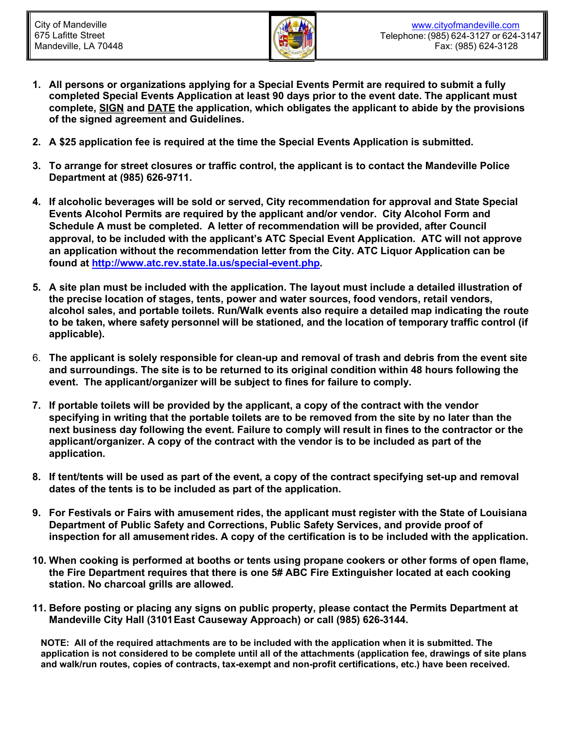

- **1. All persons or organizations applying for a Special Events Permit are required to submit a fully completed Special Events Application at least 90 days prior to the event date. The applicant must complete, SIGN and DATE the application, which obligates the applicant to abide by the provisions of the signed agreement and Guidelines.**
- **2. A \$25 application fee is required at the time the Special Events Application is submitted.**
- **3. To arrange for street closures or traffic control, the applicant is to contact the Mandeville Police Department at (985) 626-9711.**
- **4. If alcoholic beverages will be sold or served, City recommendation for approval and State Special Events Alcohol Permits are required by the applicant and/or vendor. City Alcohol Form and Schedule A must be completed. A letter of recommendation will be provided, after Council approval, to be included with the applicant's ATC Special Event Application. ATC will not approve an application without the recommendation letter from the City. ATC Liquor Application can be found at [http://www.atc.rev.state.la.us/special-event.php.](http://www.atc.rev.state.la.us/special-event.php)**
- **5. A site plan must be included with the application. The layout must include a detailed illustration of the precise location of stages, tents, power and water sources, food vendors, retail vendors, alcohol sales, and portable toilets. Run/Walk events also require a detailed map indicating the route to be taken, where safety personnel will be stationed, and the location of temporary traffic control (if applicable).**
- 6. **The applicant is solely responsible for clean-up and removal of trash and debris from the event site and surroundings. The site is to be returned to its original condition within 48 hours following the event. The applicant/organizer will be subject to fines for failure to comply.**
- **7. If portable toilets will be provided by the applicant, a copy of the contract with the vendor specifying in writing that the portable toilets are to be removed from the site by no later than the next business day following the event. Failure to comply will result in fines to the contractor or the applicant/organizer. A copy of the contract with the vendor is to be included as part of the application.**
- **8. If tent/tents will be used as part of the event, a copy of the contract specifying set-up and removal dates of the tents is to be included as part of the application.**
- **9. For Festivals or Fairs with amusement rides, the applicant must register with the State of Louisiana Department of Public Safety and Corrections, Public Safety Services, and provide proof of inspection for all amusementrides. A copy of the certification is to be included with the application.**
- **10. When cooking is performed at booths or tents using propane cookers or other forms of open flame, the Fire Department requires that there is one 5# ABC Fire Extinguisher located at each cooking station. No charcoal grills are allowed.**
- **11. Before posting or placing any signs on public property, please contact the Permits Department at Mandeville City Hall (3101East Causeway Approach) or call (985) 626-3144.**

**NOTE: All of the required attachments are to be included with the application when it is submitted. The application is not considered to be complete until all of the attachments (application fee, drawings of site plans and walk/run routes, copies of contracts, tax-exempt and non-profit certifications, etc.) have been received.**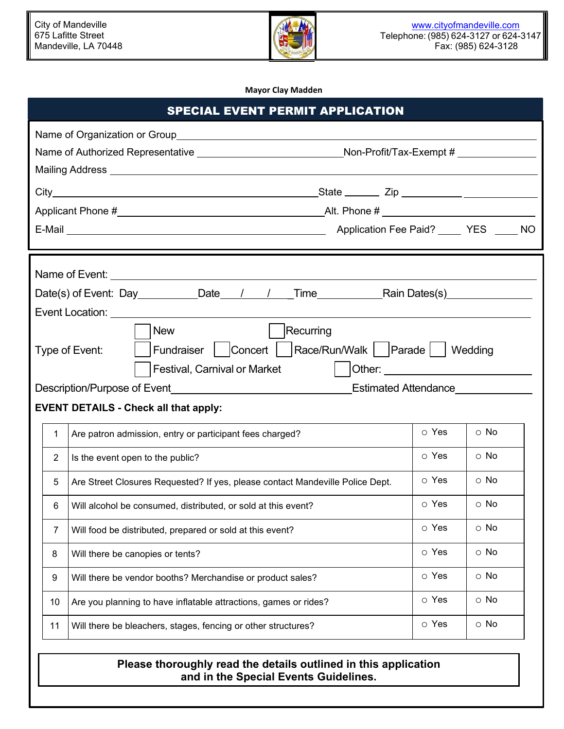

**Mayor Clay Madden**

| <b>SPECIAL EVENT PERMIT APPLICATION</b>                                                                                                                                                                      |                                                                                         |       |            |  |  |  |
|--------------------------------------------------------------------------------------------------------------------------------------------------------------------------------------------------------------|-----------------------------------------------------------------------------------------|-------|------------|--|--|--|
| Name of Authorized Representative ______________________________Non-Profit/Tax-Exempt # ____________<br>Mailing Address National Address National Address National Address National Address National Address |                                                                                         |       |            |  |  |  |
|                                                                                                                                                                                                              |                                                                                         |       |            |  |  |  |
|                                                                                                                                                                                                              |                                                                                         |       |            |  |  |  |
|                                                                                                                                                                                                              |                                                                                         |       |            |  |  |  |
| Date(s) of Event: Day __________Date___/ ___/ ___Time______________Rain Dates(s)___________________                                                                                                          |                                                                                         |       |            |  |  |  |
| Event Location: ________<br>Recurring<br><b>New</b><br>  Fundraiser   Concert   Race/Run/Walk   Parade   Wedding<br>Type of Event:                                                                           |                                                                                         |       |            |  |  |  |
|                                                                                                                                                                                                              |                                                                                         |       |            |  |  |  |
|                                                                                                                                                                                                              | <b>EVENT DETAILS - Check all that apply:</b>                                            |       |            |  |  |  |
| 1.                                                                                                                                                                                                           | Are patron admission, entry or participant fees charged?                                | o Yes | $\circ$ No |  |  |  |
| $\overline{2}$                                                                                                                                                                                               | Is the event open to the public?                                                        | o Yes | $\circ$ No |  |  |  |
| 5                                                                                                                                                                                                            | Are Street Closures Requested? If yes, please contact Mandeville Police Dept.           |       | $\circ$ No |  |  |  |
| 6                                                                                                                                                                                                            | Will alcohol be consumed, distributed, or sold at this event?                           | o Yes | $\circ$ No |  |  |  |
| 7                                                                                                                                                                                                            | Will food be distributed, prepared or sold at this event?                               | o Yes | $\circ$ No |  |  |  |
| 8                                                                                                                                                                                                            | Will there be canopies or tents?                                                        | o Yes | $\circ$ No |  |  |  |
| 9                                                                                                                                                                                                            | Will there be vendor booths? Merchandise or product sales?                              | o Yes | $\circ$ No |  |  |  |
| 10                                                                                                                                                                                                           | o Yes<br>$\circ$ No<br>Are you planning to have inflatable attractions, games or rides? |       |            |  |  |  |
| 11                                                                                                                                                                                                           | Will there be bleachers, stages, fencing or other structures?                           | o Yes | $\circ$ No |  |  |  |

## **Please thoroughly read the details outlined in this application and in the Special Events Guidelines.**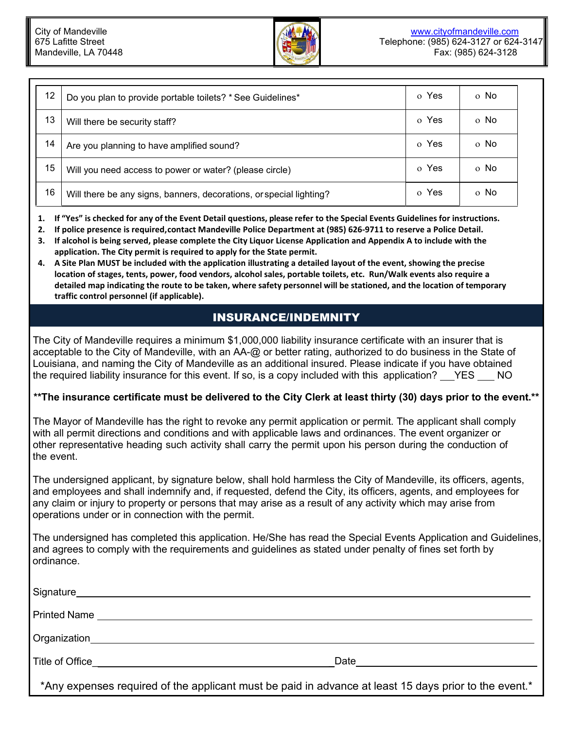

| 12 | Do you plan to provide portable toilets? * See Guidelines*          | o Yes | o No |
|----|---------------------------------------------------------------------|-------|------|
| 13 | Will there be security staff?                                       | o Yes | o No |
| 14 | Are you planning to have amplified sound?                           | o Yes | o No |
| 15 | Will you need access to power or water? (please circle)             | o Yes | o No |
| 16 | Will there be any signs, banners, decorations, or special lighting? | o Yes | o No |

- **1. If "Yes" is checked for any of the Event Detail questions, please refer to the Special Events Guidelines for instructions.**
- **2. If police presence is required,contact Mandeville Police Department at (985) 626-9711 to reserve a Police Detail.**
- **3. If alcohol is being served, please complete the City Liquor License Application and Appendix A to include with the application. The City permit is required to apply for the State permit.**
- **4. A Site Plan MUST be included with the application illustrating a detailed layout of the event, showing the precise location of stages, tents, power, food vendors, alcohol sales, portable toilets, etc. Run/Walk events also require a detailed map indicating the route to be taken, where safety personnel will be stationed, and the location of temporary traffic control personnel (if applicable).**

## INSURANCE/INDEMNITY

The City of Mandeville requires a minimum \$1,000,000 liability insurance certificate with an insurer that is acceptable to the City of Mandeville, with an AA-@ or better rating, authorized to do business in the State of Louisiana, and naming the City of Mandeville as an additional insured. Please indicate if you have obtained the required liability insurance for this event. If so, is a copy included with this application? YES NO

## **\*\*The insurance certificate must be delivered to the City Clerk at least thirty (30) days prior to the event.\*\***

The Mayor of Mandeville has the right to revoke any permit application or permit. The applicant shall comply with all permit directions and conditions and with applicable laws and ordinances. The event organizer or other representative heading such activity shall carry the permit upon his person during the conduction of the event.

The undersigned applicant, by signature below, shall hold harmless the City of Mandeville, its officers, agents, and employees and shall indemnify and, if requested, defend the City, its officers, agents, and employees for any claim or injury to property or persons that may arise as a result of any activity which may arise from operations under or in connection with the permit.

The undersigned has completed this application. He/She has read the Special Events Application and Guidelines, and agrees to comply with the requirements and guidelines as stated under penalty of fines set forth by ordinance.

| Signature | <u> 1989 - John Stone, amerikansk politiker († 1908)</u> |  |
|-----------|----------------------------------------------------------|--|
|           |                                                          |  |
|           |                                                          |  |
|           | Date                                                     |  |
| . .       |                                                          |  |

\*Any expenses required of the applicant must be paid in advance at least 15 days prior to the event.\*